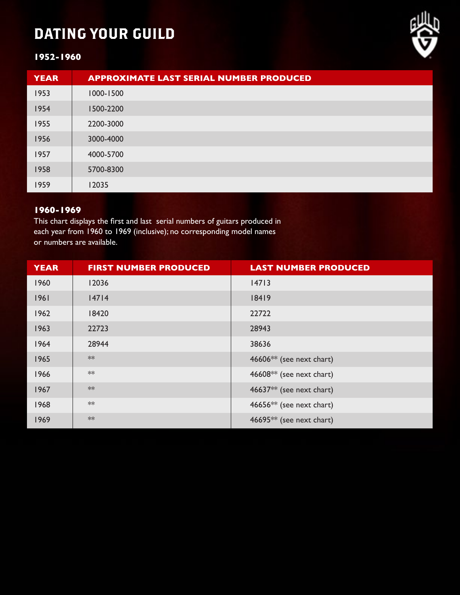# DATING YOUR GUILD



## **1952-1960**

| <b>YEAR</b> | <b>APPROXIMATE LAST SERIAL NUMBER PRODUCED</b> |
|-------------|------------------------------------------------|
| 1953        | 1000-1500                                      |
| 1954        | 1500-2200                                      |
| 1955        | 2200-3000                                      |
| 1956        | 3000-4000                                      |
| 1957        | 4000-5700                                      |
| 1958        | 5700-8300                                      |
| 1959        | 12035                                          |

## **1960-1969**

This chart displays the first and last serial numbers of guitars produced in each year from 1960 to 1969 (inclusive); no corresponding model names or numbers are available.

| <b>YEAR</b> | <b>FIRST NUMBER PRODUCED</b> | <b>LAST NUMBER PRODUCED</b>          |
|-------------|------------------------------|--------------------------------------|
| 1960        | 12036                        | 14713                                |
| 1961        | 14714                        | 18419                                |
| 1962        | 18420                        | 22722                                |
| 1963        | 22723                        | 28943                                |
| 1964        | 28944                        | 38636                                |
| 1965        | $**$                         | 46606 $**$ (see next chart)          |
| 1966        | $**$                         | 46608** (see next chart)             |
| 1967        | $**$                         | 46637 $**$ (see next chart)          |
| 1968        | $**$                         | 46656 <sup>**</sup> (see next chart) |
| 1969        | $**$                         | 46695 $**$ (see next chart)          |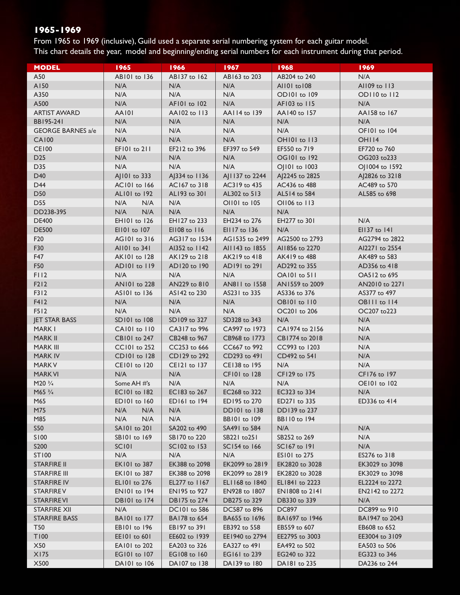From 1965 to 1969 (inclusive), Guild used a separate serial numbering system for each guitar model. This chart details the year, model and beginning/ending serial numbers for each instrument during that period.

| <b>MODEL</b>             | 1965                | 1966          | 1967                | 1968           | 1969           |
|--------------------------|---------------------|---------------|---------------------|----------------|----------------|
| A50                      | AB101 to 136        | AB137 to 162  | AB163 to 203        | AB204 to 240   | N/A            |
| A150                     | N/A                 | N/A           | N/A                 | AII01 to 108   | AI109 to 113   |
| A350                     | N/A                 | N/A           | N/A                 | OD101 to 109   | OD110 to 112   |
| A500                     | N/A                 | AFI01 to 102  | N/A                 | AF103 to 115   | N/A            |
| <b>ARTIST AWARD</b>      | <b>AA101</b>        | AA102 to 113  | AA114 to 139        | AA140 to 157   | AA158 to 167   |
| BB195-241                | N/A                 | N/A           | N/A                 | N/A            | N/A            |
| <b>GEORGE BARNES a/e</b> | N/A                 | N/A           | N/A                 | N/A            | OF101 to 104   |
| <b>CA100</b>             | N/A                 | N/A           | N/A                 | OHI01 to 113   | OHI14          |
| <b>CE100</b>             | EF101 to 211        | EF212 to 396  | EF397 to 549        | EF550 to 719   | EF720 to 760   |
| D <sub>25</sub>          | N/A                 | N/A           | N/A                 | OG101 to 192   | OG203 to233    |
| D35                      | N/A                 | N/A           | N/A                 | OJ101 to 1003  | OJ1004 to 1592 |
| D40                      | AJ101 to 333        | AJ334 to 1136 | AJ1137 to 2244      | AJ2245 to 2825 | AJ2826 to 3218 |
| D44                      | AC101 to 166        | AC167 to 318  | AC319 to 435        | AC436 to 488   | AC489 to 570   |
| D50                      | ALI01 to 192        | AL193 to 301  | AL302 to 513        | AL514 to 584   | AL585 to 698   |
| <b>D55</b>               | N/A<br>N/A          | N/A           | OI101 to 105        | OI106 to 113   |                |
| DD238-395                | N/A<br>N/A          | N/A           | N/A                 | N/A            |                |
| <b>DE400</b>             | EH101 to 126        | EH127 to 233  | EH234 to 276        | EH277 to 301   | N/A            |
| <b>DE500</b>             | EII01 to 107        | EI108 to 116  | EII17 to 136        | N/A            | EI137 to 141   |
| F20                      | AG101 to 316        | AG317 to 1534 | AG1535 to 2499      | AG2500 to 2793 | AG2794 to 2822 |
| F30                      | AII01 to 341        | Al352 to 1142 | AII 143 to 1855     | Al1856 to 2270 | AI2271 to 2554 |
| F47                      | AK101 to 128        | AK129 to 218  | AK219 to 418        | AK419 to 488   | AK489 to 583   |
| F50                      | AD101 to 119        | AD120 to 190  | AD191 to 291        | AD292 to 355   | AD356 to 418   |
| FII <sub>2</sub>         | N/A                 | N/A           | N/A                 | OAI01 to 511   | OA512 to 695   |
| F212                     | AN101 to 228        | AN229 to 810  | AN811 to 1558       | AN1559 to 2009 | AN2010 to 2271 |
| F312                     | AS101 to 136        | AS142 to 230  | AS231 to 335        | AS336 to 376   | AS377 to 497   |
| F412                     | N/A                 | N/A           | N/A                 | OBI01 to 110   | OBIII to 114   |
| F512                     | N/A                 | N/A           | N/A                 | OC201 to 206   | OC207 to223    |
| <b>JET STAR BASS</b>     | SD101 to 108        | SD109 to 327  | SD328 to 343        | N/A            | N/A            |
| MARK I                   | CAI01 to 110        | CA317 to 996  | CA997 to 1973       | CA1974 to 2156 | N/A            |
| MARK II                  | CB101 to 247        | CB248 to 967  | CB968 to 1773       | CB1774 to 2018 | N/A            |
| MARK III                 | CC101 to 252        | CC253 to 666  | CC667 to 992        | CC993 to 1203  | N/A            |
| <b>MARK IV</b>           | CD101 to 128        | CD129 to 292  | CD293 to 491        | CD492 to 541   | N/A            |
| <b>MARK V</b>            | CE101 to 120        | CE121 to 137  | CE138 to 195        | N/A            | N/A            |
| <b>MARK VI</b>           | N/A                 | N/A           | CF101 to 128        | CF129 to 175   | CF176 to 197   |
| M20 $\frac{3}{4}$        | Some AH #'s         | N/A           | N/A                 | N/A            | OE101 to 102   |
| M65 3/4                  | <b>EC101</b> to 182 | EC183 to 267  | EC268 to 322        | EC323 to 334   | N/A            |
| M65                      | ED101 to 160        | ED161 to 194  | ED195 to 270        | ED271 to 335   | ED336 to 414   |
| M75                      | N/A<br>N/A          | N/A           | <b>DD101</b> to 138 | DD139 to 237   |                |
| M85                      | N/A<br>N/A          | N/A           | <b>BB101</b> to 109 | BB110 to 194   |                |
| <b>S50</b>               | SA101 to 201        | SA202 to 490  | SA491 to 584        | N/A            | N/A            |
| S100                     | SB101 to 169        | SB170 to 220  | SB221 to 251        | SB252 to 269   | N/A            |
| S200                     | <b>SC101</b>        | SC102 to 153  | SC154 to 166        | SC167 to 191   | N/A            |
| ST100                    | N/A                 | N/A           | N/A                 | ES101 to 275   | ES276 to 318   |
| <b>STARFIRE II</b>       | EK101 to 387        | EK388 to 2098 | EK2099 to 2819      | EK2820 to 3028 | EK3029 to 3098 |
| <b>STARFIRE III</b>      | EK101 to 387        | EK388 to 2098 | EK2099 to 2819      | EK2820 to 3028 | EK3029 to 3098 |
| <b>STARFIRE IV</b>       | EL101 to 276        | EL277 to 1167 | EL1168 to 1840      | EL1841 to 2223 | EL2224 to 2272 |
| <b>STARFIREV</b>         | <b>EN101</b> to 194 | EN195 to 927  | EN928 to 1807       | EN1808 to 2141 | EN2142 to 2272 |
| <b>STARFIREVI</b>        | <b>DB101</b> to 174 | DB175 to 274  | DB275 to 329        | DB330 to 339   | N/A            |
| <b>STARFIRE XII</b>      | N/A                 | DC101 to 586  | DC587 to 896        | DC897          | DC899 to 910   |
| <b>STARFIRE BASS</b>     | <b>BAI01</b> to 177 | BA178 to 654  | BA655 to 1696       | BA1697 to 1946 | BA1947 to 2043 |
| <b>T50</b>               | <b>EBIOI</b> to 196 | EB197 to 391  | EB392 to 558        | EB559 to 607   | EB608 to 652   |
| T100                     | EE101 to 601        | EE602 to 1939 | EE1940 to 2794      | EE2795 to 3003 | EE3004 to 3109 |
| X50                      | EA101 to 202        | EA203 to 326  | EA327 to 491        | EA492 to 502   | EA503 to 506   |
| X175                     | <b>EG101</b> to 107 | EG108 to 160  | EG161 to 239        | EG240 to 322   | EG323 to 346   |
| X500                     | DAI01 to 106        | DA107 to 138  | DA139 to 180        | DA181 to 235   | DA236 to 244   |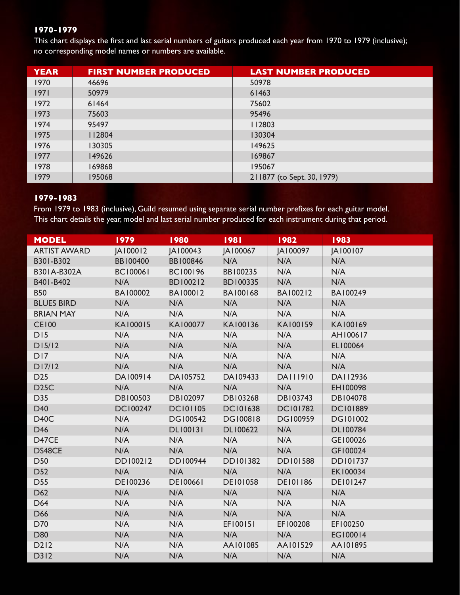This chart displays the first and last serial numbers of guitars produced each year from 1970 to 1979 (inclusive); no corresponding model names or numbers are available.

| <b>YEAR</b> | <b>FIRST NUMBER PRODUCED</b> | <b>LAST NUMBER PRODUCED</b> |
|-------------|------------------------------|-----------------------------|
| 1970        | 46696                        | 50978                       |
| 1971        | 50979                        | 61463                       |
| 1972        | 61464                        | 75602                       |
| 1973        | 75603                        | 95496                       |
| 1974        | 95497                        | 112803                      |
| 1975        | 112804                       | 130304                      |
| 1976        | 130305                       | 149625                      |
| 1977        | 149626                       | 169867                      |
| 1978        | 169868                       | 195067                      |
| 1979        | 195068                       | 211877 (to Sept. 30, 1979)  |

#### **1979-1983**

From 1979 to 1983 (inclusive), Guild resumed using separate serial number prefixes for each guitar model. This chart details the year, model and last serial number produced for each instrument during that period.

| <b>MODEL</b>        | 1979            | 1980            | 1981            | 1982            | 1983            |
|---------------------|-----------------|-----------------|-----------------|-----------------|-----------------|
| <b>ARTIST AWARD</b> | JA100012        | JA100043        | JA100067        | JA100097        | JA100107        |
| B301-B302           | BB100400        | BB100846        | N/A             | N/A             | N/A             |
| B301A-B302A         | <b>BC100061</b> | <b>BC100196</b> | BB100235        | N/A             | N/A             |
| B401-B402           | N/A             | BD100212        | <b>BD100335</b> | N/A             | N/A             |
| <b>B50</b>          | BA100002        | BA100012        | <b>BA100168</b> | BA100212        | BA100249        |
| <b>BLUES BIRD</b>   | N/A             | N/A             | N/A             | N/A             | N/A             |
| <b>BRIAN MAY</b>    | N/A             | N/A             | N/A             | N/A             | N/A             |
| <b>CE100</b>        | KA100015        | KA100077        | KA100136        | KA100159        | KA100169        |
| <b>DI5</b>          | N/A             | N/A             | N/A             | N/A             | AH100617        |
| D15/12              | N/A             | N/A             | N/A             | N/A             | EL100064        |
| D <sub>17</sub>     | N/A             | N/A             | N/A             | N/A             | N/A             |
| D17/12              | N/A             | N/A             | N/A             | N/A             | N/A             |
| D <sub>25</sub>     | DA100914        | DA105752        | DA109433        | DA111910        | DA112936        |
| <b>D25C</b>         | N/A             | N/A             | N/A             | N/A             | EH100098        |
| D35                 | <b>DB100503</b> | DB102097        | DB103268        | DB103743        | DB104078        |
| D40                 | <b>DC100247</b> | <b>DC101105</b> | <b>DC101638</b> | <b>DC101782</b> | <b>DC101889</b> |
| <b>D40C</b>         | N/A             | DG100542        | <b>DG100818</b> | <b>DG100959</b> | <b>DG101002</b> |
| D46                 | N/A             | <b>DLI00131</b> | DL100622        | N/A             | <b>DL100784</b> |
| D47CE               | N/A             | N/A             | N/A             | N/A             | GE100026        |
| DS48CE              | N/A             | N/A             | N/A             | N/A             | GF100024        |
| <b>D50</b>          | DD100212        | DD100944        | DD101382        | <b>DD101588</b> | <b>DD101737</b> |
| D <sub>52</sub>     | N/A             | N/A             | N/A             | N/A             | EK100034        |
| <b>D55</b>          | DE100236        | <b>DE100661</b> | <b>DE101058</b> | <b>DE101186</b> | <b>DE101247</b> |
| D62                 | N/A             | N/A             | N/A             | N/A             | N/A             |
| D64                 | N/A             | N/A             | N/A             | N/A             | N/A             |
| D66                 | N/A             | N/A             | N/A             | N/A             | N/A             |
| D70                 | N/A             | N/A             | EF100151        | EF100208        | EF100250        |
| D80                 | N/A             | N/A             | N/A             | N/A             | EG100014        |
| D212                | N/A             | N/A             | AA101085        | AA101529        | AA101895        |
| D312                | N/A             | N/A             | N/A             | N/A             | N/A             |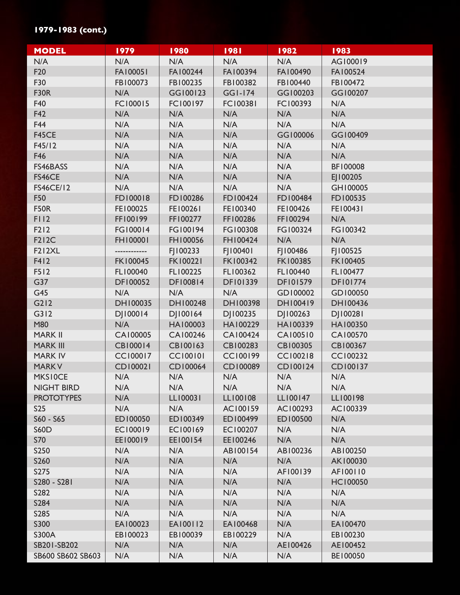## **1979-1983 (cont.)**

| <b>MODEL</b>      | 1979            | 1980            | 1981            | 1982            | 1983            |
|-------------------|-----------------|-----------------|-----------------|-----------------|-----------------|
| N/A               | N/A             | N/A             | N/A             | N/A             | AG100019        |
| F <sub>20</sub>   | FA100051        | FA100244        | FA100394        | FA100490        | FA100524        |
| F30               | FB100073        | FB100235        | FB100382        | FB100440        | FB100472        |
| <b>F30R</b>       | N/A             | GG100123        | <b>GGI-174</b>  | GG100203        | GG100207        |
| F40               | FC100015        | FC100197        | <b>FC100381</b> | FC100393        | N/A             |
| F42               | N/A             | N/A             | N/A             | N/A             | N/A             |
| F44               | N/A             | N/A             | N/A             | N/A             | N/A             |
| F45CE             | N/A             | N/A             | N/A             | GG100006        | GG100409        |
| F45/12            | N/A             | N/A             | N/A             | N/A             | N/A             |
| F46               | N/A             | N/A             | N/A             | N/A             | N/A             |
| FS46BASS          | N/A             | N/A             | N/A             | N/A             | BF100008        |
| FS46CE            | N/A             | N/A             | N/A             | N/A             | EJ100205        |
| <b>FS46CE/12</b>  | N/A             | N/A             | N/A             | N/A             | GH100005        |
| F50               | FD100018        | FD100286        | FD100424        | FD100484        | FD100535        |
| <b>F50R</b>       | FE100025        | FE100261        | FE100340        | FE100426        | FE100431        |
| F112              | FF100199        | FF100277        | FF100286        | FF100294        | N/A             |
| F212              | FG100014        | FG100194        | FG100308        | FG100324        | FG100342        |
| <b>F212C</b>      | FH100001        | FH100056        | FH100424        | N/A             | N/A             |
| <b>F212XL</b>     | ------------    | FJ100233        | FJ100401        | FI100486        | FJ100525        |
| F412              | <b>FK100045</b> | <b>FK100221</b> | FK100342        | FK100385        | <b>FK100405</b> |
| F512              | FL100040        | FL100225        | FL100362        | FL100440        | FL100477        |
| G37               | DF100052        | <b>DF100814</b> | <b>DF101339</b> | <b>DF101579</b> | <b>DF101774</b> |
| G45               | N/A             | N/A             | N/A             | GD100002        | GD100050        |
| G212              | DH100035        | DH100248        | DH100398        | DH100419        | DH100436        |
| G312              | DJ100014        | DJ100164        | DJ100235        | DJ100263        | DJ100281        |
| M80               | N/A             | HA100003        | HA100229        | HA100339        | HA100350        |
| <b>MARK II</b>    | CA100005        | CA100246        | <b>CA100424</b> | CA100510        | CA100570        |
| <b>MARK III</b>   | <b>CB100014</b> | CB100163        | CB100283        | CB100305        | CB100367        |
| <b>MARK IV</b>    | <b>CC100017</b> | <b>CC100101</b> | <b>CC100199</b> | <b>CC100218</b> | CC100232        |
| <b>MARKV</b>      | CD100021        | CD100064        | CD100089        | CD100124        | CD100137        |
| <b>MKSIOCE</b>    | N/A             | N/A             | N/A             | N/A             | N/A             |
| <b>NIGHT BIRD</b> | N/A             | N/A             | N/A             | N/A             | N/A             |
| <b>PROTOTYPES</b> | N/A             | LL100031        | LL100108        | LL100147        | LL100198        |
| <b>S25</b>        | N/A             | N/A             | AC100159        | AC100293        | AC100339        |
| $S60 - S65$       | ED100050        | ED100349        | ED100499        | ED100500        | N/A             |
| <b>S60D</b>       | EC100019        | EC100169        | EC100207        | N/A             | N/A             |
| S70               | EE100019        | EE100154        | EE100246        | N/A             | N/A             |
| <b>S250</b>       | N/A             | N/A             | AB100154        | AB100236        | AB100250        |
| S260              | N/A             | N/A             | N/A             | N/A             | AK100030        |
| S275              | N/A             | N/A             | N/A             | AF100139        | AF100110        |
| S280 - S281       | N/A             | N/A             | N/A             | N/A             | <b>HC100050</b> |
| S282              | N/A             | N/A             | N/A             | N/A             | N/A             |
| S284              | N/A             | N/A             | N/A             | N/A             | N/A             |
| S285              | N/A             | N/A             | N/A             | N/A             | N/A             |
| S300              | EA100023        | EA100112        | EA100468        | N/A             | EA100470        |
| S300A             | EB100023        | EB100039        | EB100229        | N/A             | EB100230        |
| SB201-SB202       | N/A             | N/A             | N/A             | AE100426        | AE100452        |
| SB600 SB602 SB603 | N/A             | N/A             | N/A             | N/A             | BE100050        |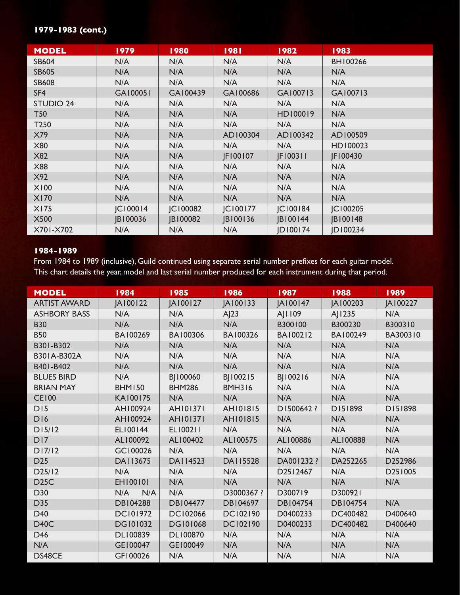#### **1979-1983 (cont.)**

| <b>MODEL</b>     | 1979            | 1980     | 1981           | 1982           | 1983     |
|------------------|-----------------|----------|----------------|----------------|----------|
| <b>SB604</b>     | N/A             | N/A      | N/A            | N/A            | BH100266 |
| <b>SB605</b>     | N/A             | N/A      | N/A            | N/A            | N/A      |
| <b>SB608</b>     | N/A             | N/A      | N/A            | N/A            | N/A      |
| SF <sub>4</sub>  | GA100051        | GA100439 | GA100686       | GA100713       | GA100713 |
| <b>STUDIO 24</b> | N/A             | N/A      | N/A            | N/A            | N/A      |
| <b>T50</b>       | N/A             | N/A      | N/A            | HD100019       | N/A      |
| T <sub>250</sub> | N/A             | N/A      | N/A            | N/A            | N/A      |
| X79              | N/A             | N/A      | AD100304       | AD100342       | AD100509 |
| <b>X80</b>       | N/A             | N/A      | N/A            | N/A            | HD100023 |
| <b>X82</b>       | N/A             | N/A      | JF100107       | JF100311       | JF100430 |
| <b>X88</b>       | N/A             | N/A      | N/A            | N/A            | N/A      |
| X92              | N/A             | N/A      | N/A            | N/A            | N/A      |
| <b>X100</b>      | N/A             | N/A      | N/A            | N/A            | N/A      |
| <b>X170</b>      | N/A             | N/A      | N/A            | N/A            | N/A      |
| X175             | <b>JC100014</b> | JC100082 | <b>C100177</b> | <b>C100184</b> | JC100205 |
| <b>X500</b>      | JB100036        | JB100082 | JB100136       | JB100144       | JB100148 |
| X701-X702        | N/A             | N/A      | N/A            | JD100174       | JD100234 |

#### **1984-1989**

From 1984 to 1989 (inclusive), Guild continued using separate serial number prefixes for each guitar model. This chart details the year, model and last serial number produced for each instrument during that period.

| <b>MODEL</b>        | 1984            | 1985            | 1986            | 1987            | 1988            | 1989     |
|---------------------|-----------------|-----------------|-----------------|-----------------|-----------------|----------|
| <b>ARTIST AWARD</b> | JA100122        | JA100127        | JA100133        | JA100147        | JA100203        | JA100227 |
| <b>ASHBORY BASS</b> | N/A             | N/A             | AJ23            | AJ1109          | AJ1235          | N/A      |
| <b>B30</b>          | N/A             | N/A             | N/A             | B300100         | B300230         | B300310  |
| <b>B50</b>          | BA100269        | BA100306        | BA100326        | BA100212        | BA100249        | BA300310 |
| B301-B302           | N/A             | N/A             | N/A             | N/A             | N/A             | N/A      |
| B301A-B302A         | N/A             | N/A             | N/A             | N/A             | N/A             | N/A      |
| B401-B402           | N/A             | N/A             | N/A             | N/A             | N/A             | N/A      |
| <b>BLUES BIRD</b>   | N/A             | BJ100060        | BJ100215        | BJ100216        | N/A             | N/A      |
| <b>BRIAN MAY</b>    | <b>BHM150</b>   | <b>BHM286</b>   | <b>BMH316</b>   | N/A             | N/A             | N/A      |
| <b>CE100</b>        | KA100175        | N/A             | N/A             | N/A             | N/A             | N/A      |
| DI5                 | AH100924        | <b>AH101371</b> | AH101815        | D1500642 ?      | D151898         | D151898  |
| <b>D16</b>          | AH100924        | <b>AH101371</b> | <b>AH101815</b> | N/A             | N/A             | N/A      |
| D15/12              | EL100144        | EL100211        | N/A             | N/A             | N/A             | N/A      |
| DI7                 | AL100092        | AL100402        | AL100575        | AL100886        | AL100888        | N/A      |
| D17/12              | GC100026        | N/A             | N/A             | N/A             | N/A             | N/A      |
| D <sub>25</sub>     | DA113675        | <b>DAI14523</b> | DA115528        | DA001232 ?      | DA252265        | D252986  |
| D25/12              | N/A             | N/A             | N/A             | D2512467        | N/A             | D251005  |
| D <sub>25</sub> C   | EH100101        | N/A             | N/A             | N/A             | N/A             | N/A      |
| D30                 | N/A<br>N/A      | N/A             | D3000367 ?      | D300719         | D300921         |          |
| D35                 | <b>DB104288</b> | <b>DB104477</b> | DB104697        | <b>DB104754</b> | <b>DB104754</b> | N/A      |
| D40                 | <b>DC101972</b> | <b>DC102066</b> | DC102190        | D0400233        | DC400482        | D400640  |
| D <sub>40</sub> C   | <b>DG101032</b> | <b>DG101068</b> | <b>DC102190</b> | D0400233        | DC400482        | D400640  |
| D46                 | DL100839        | <b>DL100870</b> | N/A             | N/A             | N/A             | N/A      |
| N/A                 | GE100047        | GE100049        | N/A             | N/A             | N/A             | N/A      |
| DS48CE              | GF100026        | N/A             | N/A             | N/A             | N/A             | N/A      |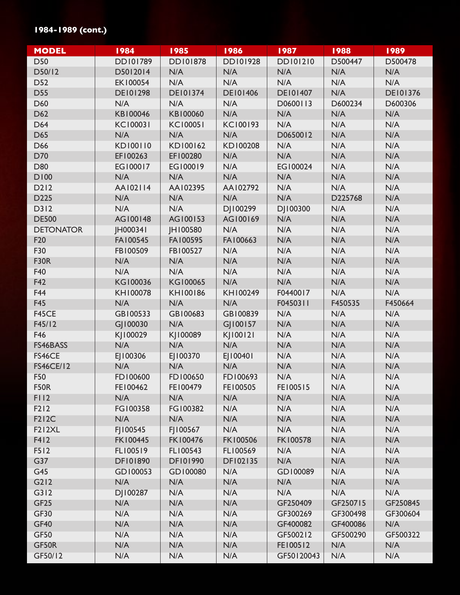## **1984-1989 (cont.)**

| <b>MODEL</b>        | 1984            | 1985            | 1986            | 1987            | 1988     | 1989            |
|---------------------|-----------------|-----------------|-----------------|-----------------|----------|-----------------|
| D50                 | <b>DD101789</b> | <b>DD101878</b> | DD101928        | <b>DD101210</b> | D500447  | D500478         |
| D50/12              | D5012014        | N/A             | N/A             | N/A             | N/A      | N/A             |
| D52                 | EK100054        | N/A             | N/A             | N/A             | N/A      | N/A             |
| <b>D55</b>          | <b>DE101298</b> | <b>DE101374</b> | <b>DE101406</b> | <b>DE101407</b> | N/A      | <b>DE101376</b> |
| D60                 | N/A             | N/A             | N/A             | D0600113        | D600234  | D600306         |
| D62                 | KB100046        | KB100060        | N/A             | N/A             | N/A      | N/A             |
| D64                 | <b>KC100031</b> | <b>KC100051</b> | KC100193        | N/A             | N/A      | N/A             |
| D65                 | N/A             | N/A             | N/A             | D0650012        | N/A      | N/A             |
| D66                 | KD100110        | KD100162        | KD100208        | N/A             | N/A      | N/A             |
| D70                 | EF100263        | EF100280        | N/A             | N/A             | N/A      | N/A             |
| D80                 | EG100017        | EG100019        | N/A             | EG100024        | N/A      | N/A             |
| <b>D100</b>         | N/A             | N/A             | N/A             | N/A             | N/A      | N/A             |
| D212                | AA102114        | AA102395        | AA102792        | N/A             | N/A      | N/A             |
| D225                | N/A             | N/A             | N/A             | N/A             | D225768  | N/A             |
| D312                | N/A             | N/A             | DJ100299        | DJ100300        | N/A      | N/A             |
| <b>DE500</b>        | AG100148        | AG100153        | AG100169        | N/A             | N/A      | N/A             |
| <b>DETONATOR</b>    | <b>IH000341</b> | JH100580        | N/A             | N/A             | N/A      | N/A             |
| F <sub>20</sub>     | FA100545        | FA100595        | FA100663        | N/A             | N/A      | N/A             |
| F30                 | FB100509        | FB100527        | N/A             | N/A             | N/A      | N/A             |
| <b>F30R</b>         | N/A             | N/A             | N/A             | N/A             | N/A      | N/A             |
| F40                 | N/A             | N/A             | N/A             | N/A             | N/A      | N/A             |
| F42                 | KG100036        | KG100065        | N/A             | N/A             | N/A      | N/A             |
| F44                 | KH100078        | KH100186        | KH100249        | F0440017        | N/A      | N/A             |
| <b>F45</b>          | N/A             | N/A             | N/A             | F0450311        | F450535  | F450664         |
| F45CE               | GB100533        | GB100683        | GB100839        | N/A             | N/A      | N/A             |
| F45/12              | GJ100030        | N/A             | G 100157        | N/A             | N/A      | N/A             |
| F46                 | KJ100029        | KJ100089        | KJ100121        | N/A             | N/A      | N/A             |
| FS46BASS            | N/A             | N/A             | N/A             | N/A             | N/A      | N/A             |
| FS46CE              | EJ100306        | EJ100370        | EJ100401        | N/A             | N/A      | N/A             |
| <b>FS46CE/12</b>    | N/A             | N/A             | N/A             | N/A             | N/A      | N/A             |
| F50                 | FD100600        | FD100650        | FD100693        | N/A             | N/A      | N/A             |
| <b>F50R</b>         | FE100462        | FE100479        | FE100505        | FE100515        | N/A      | N/A             |
| F112                | N/A             | N/A             | N/A             | N/A             | N/A      | N/A             |
| F212                | FG100358        | FG100382        | N/A             | N/A             | N/A      | N/A             |
| <b>F212C</b>        | N/A             | N/A             | N/A             | N/A             | N/A      | N/A             |
| F <sub>2</sub> 12XL | FJ100545        | FJ100567        | N/A             | N/A             | N/A      | N/A             |
| F412                | <b>FK100445</b> | FK100476        | <b>FK100506</b> | <b>FK100578</b> | N/A      | N/A             |
| F512                | FL100519        | FL100543        | FL100569        | N/A             | N/A      | N/A             |
| G37                 | <b>DF101890</b> | <b>DF101990</b> | DF102135        | N/A             | N/A      | N/A             |
| G45                 | GD100053        | GD100080        | N/A             | GD100089        | N/A      | N/A             |
| G212                | N/A             | N/A             | N/A             | N/A             | N/A      | N/A             |
| G312                | DJ100287        | N/A             | N/A             | N/A             | N/A      | N/A             |
| GF <sub>25</sub>    | N/A             | N/A             | N/A             | GF250409        | GF250715 | GF250845        |
| <b>GF30</b>         | N/A             | N/A             | N/A             | GF300269        | GF300498 | GF300604        |
| <b>GF40</b>         | N/A             | N/A             | N/A             | GF400082        | GF400086 | N/A             |
| <b>GF50</b>         | N/A             | N/A             | N/A             | GF500212        | GF500290 | GF500322        |
| GF50R               | N/A             | N/A             | N/A             | FE100512        | N/A      | N/A             |
| GF50/12             | N/A             | N/A             | N/A             | GF50120043      | N/A      | N/A             |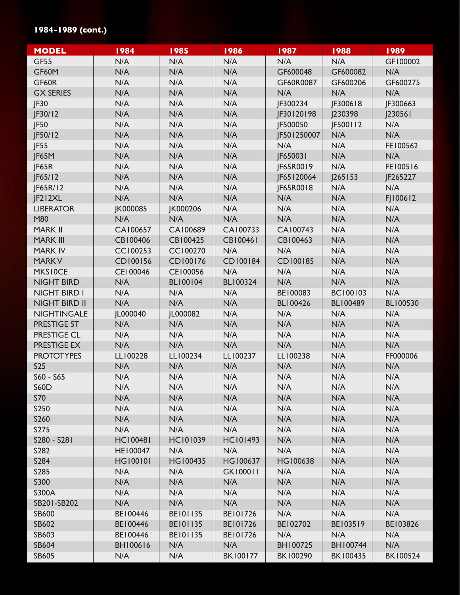## **1984-1989 (cont.)**

| <b>MODEL</b>         | 1984            | 1985            | 1986            | 1987            | 1988            | 1989            |
|----------------------|-----------------|-----------------|-----------------|-----------------|-----------------|-----------------|
| <b>GF55</b>          | N/A             | N/A             | N/A             | N/A             | N/A             | GF100002        |
| GF60M                | N/A             | N/A             | N/A             | GF600048        | GF600082        | N/A             |
| GF60R                | N/A             | N/A             | N/A             | GF60R0087       | GF600206        | GF600275        |
| <b>GX SERIES</b>     | N/A             | N/A             | N/A             | N/A             | N/A             | N/A             |
| JF30                 | N/A             | N/A             | N/A             | JF300234        | JF300618        | JF300663        |
| JF30/12              | N/A             | N/A             | N/A             | JF30120198      | 230398          | 230561          |
| JF50                 | N/A             | N/A             | N/A             | JF500050        | JF500112        | N/A             |
| JF50/12              | N/A             | N/A             | N/A             | JF501250007     | N/A             | N/A             |
| JF55                 | N/A             | N/A             | N/A             | N/A             | N/A             | FE100562        |
| JF65M                | N/A             | N/A             | N/A             | JF650031        | N/A             | N/A             |
| JF65R                | N/A             | N/A             | N/A             | JF65R0019       | N/A             | FE100516        |
| F65/12               | N/A             | N/A             | N/A             | JF65120064      | 265 53          | JF265227        |
| JF65R/12             | N/A             | N/A             | N/A             | JF65R0018       | N/A             | N/A             |
| JF212XL              | N/A             | N/A             | N/A             | N/A             | N/A             | FJ100612        |
| <b>LIBERATOR</b>     | JK000085        | JK000206        | N/A             | N/A             | N/A             | N/A             |
| M80                  | N/A             | N/A             | N/A             | N/A             | N/A             | N/A             |
| <b>MARK II</b>       | CA100657        | CA100689        | CA100733        | CA100743        | N/A             | N/A             |
| <b>MARK III</b>      | CB100406        | CB100425        | <b>CB100461</b> | CB100463        | N/A             | N/A             |
| <b>MARK IV</b>       | <b>CC100253</b> | CC100270        | N/A             | N/A             | N/A             | N/A             |
| <b>MARKV</b>         | CD100156        | CD100176        | CD100184        | CD100185        | N/A             | N/A             |
| <b>MKSIOCE</b>       | CE100046        | CE100056        | N/A             | N/A             | N/A             | N/A             |
| <b>NIGHT BIRD</b>    | N/A             | BL100104        | <b>BL100324</b> | N/A             | N/A             | N/A             |
| NIGHT BIRD I         | N/A             | N/A             | N/A             | BE100083        | <b>BC100103</b> | N/A             |
| <b>NIGHT BIRD II</b> | N/A             | N/A             | N/A             | <b>BL100426</b> | <b>BL100489</b> | <b>BL100530</b> |
| <b>NIGHTINGALE</b>   | JL000040        | JL000082        | N/A             | N/A             | N/A             | N/A             |
| <b>PRESTIGE ST</b>   | N/A             | N/A             | N/A             | N/A             | N/A             | N/A             |
| <b>PRESTIGE CL</b>   | N/A             | N/A             | N/A             | N/A             | N/A             | N/A             |
| PRESTIGE EX          | N/A             | N/A             | N/A             | N/A             | N/A             | N/A             |
| <b>PROTOTYPES</b>    | LL100228        | LL100234        | LL100237        | LL100238        | N/A             | FF000006        |
| <b>S25</b>           | N/A             | N/A             | N/A             | N/A             | N/A             | N/A             |
| S60 - S65            | N/A             | N/A             | N/A             | N/A             | N/A             | N/A             |
| <b>S60D</b>          | N/A             | N/A             | N/A             | N/A             | N/A             | N/A             |
| <b>S70</b>           | N/A             | N/A             | N/A             | N/A             | N/A             | N/A             |
| <b>S250</b>          | N/A             | N/A             | N/A             | N/A             | N/A             | N/A             |
| S260                 | N/A             | N/A             | N/A             | N/A             | N/A             | N/A             |
| S275                 | N/A             | N/A             | N/A             | N/A             | N/A             | N/A             |
| S280 - S281          | <b>HC100481</b> | <b>HC101039</b> | <b>HC101493</b> | N/A             | N/A             | N/A             |
| S282                 | HE100047        | N/A             | N/A             | N/A             | N/A             | N/A             |
| S284                 | <b>HG100101</b> | HG100435        | HG100637        | HG100638        | N/A             | N/A             |
| S285                 | N/A             | N/A             | <b>GK100011</b> | N/A             | N/A             | N/A             |
| S300                 | N/A             | N/A             | N/A             | N/A             | N/A             | N/A             |
| S300A                | N/A             | N/A             | N/A             | N/A             | N/A             | N/A             |
| SB201-SB202          | N/A             | N/A             | N/A             | N/A             | N/A             | N/A             |
| <b>SB600</b>         | BE100446        | <b>BE101135</b> | BE101726        | N/A             | N/A             | N/A             |
| <b>SB602</b>         | BE100446        | <b>BE101135</b> | BE101726        | BE102702        | BE103519        | BE103826        |
| <b>SB603</b>         | BE100446        | <b>BE101135</b> | BE101726        | N/A             | N/A             | N/A             |
| <b>SB604</b>         | <b>BH100616</b> | N/A             | N/A             | BH100725        | BH100744        | N/A             |
| <b>SB605</b>         | N/A             | N/A             | <b>BK100177</b> | BK100290        | <b>BK100435</b> | <b>BK100524</b> |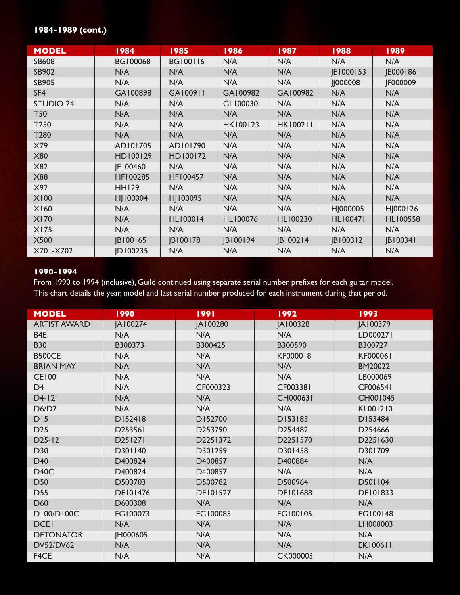# **1984-1989 (cont.)**

| <b>MODEL</b>     | 1984            | 1985            | 1986            | 1987            | 1988            | 1989            |
|------------------|-----------------|-----------------|-----------------|-----------------|-----------------|-----------------|
| <b>SB608</b>     | <b>BG100068</b> | <b>BG100116</b> | N/A             | N/A             | N/A             | N/A             |
| <b>SB902</b>     | N/A             | N/A             | N/A             | N/A             | JE1000153       | JE000186        |
| <b>SB905</b>     | N/A             | N/A             | N/A             | N/A             | 000008          | JF000009        |
| SF4              | GA100898        | GA100911        | GA100982        | GA100982        | N/A             | N/A             |
| <b>STUDIO 24</b> | N/A             | N/A             | GL100030        | N/A             | N/A             | N/A             |
| <b>T50</b>       | N/A             | N/A             | N/A             | N/A             | N/A             | N/A             |
| T250             | N/A             | N/A             | <b>HK100123</b> | <b>HK100211</b> | N/A             | N/A             |
| T280             | N/A             | N/A             | N/A             | N/A             | N/A             | N/A             |
| X79              | AD101705        | AD101790        | N/A             | N/A             | N/A             | N/A             |
| <b>X80</b>       | HD100129        | HD100172        | N/A             | N/A             | N/A             | N/A             |
| X82              | JF100460        | N/A             | N/A             | N/A             | N/A             | N/A             |
| <b>X88</b>       | HF100285        | HF100457        | N/A             | N/A             | N/A             | N/A             |
| X92              | <b>HH129</b>    | N/A             | N/A             | N/A             | N/A             | N/A             |
| <b>X100</b>      | HJ100004        | HJ100095        | N/A             | N/A             | N/A             | N/A             |
| X160             | N/A             | N/A             | N/A             | N/A             | HJ000005        | HJ000126        |
| <b>X170</b>      | N/A             | <b>HL100014</b> | <b>HL100076</b> | HL100230        | <b>HL100471</b> | <b>HL100558</b> |
| <b>X175</b>      | N/A             | N/A             | N/A             | N/A             | N/A             | N/A             |
| <b>X500</b>      | JB100165        | JB100178        | JB100194        | JB100214        | JB100312        | JB100341        |
| X701-X702        | JD100235        | N/A             | N/A             | N/A             | N/A             | N/A             |

#### **1990-1994**

From 1990 to 1994 (inclusive), Guild continued using separate serial number prefixes for each guitar model. This chart details the year, model and last serial number produced for each instrument during that period.

| <b>MODEL</b>        | 1990            | 1991            | 1992            | 1993            |
|---------------------|-----------------|-----------------|-----------------|-----------------|
| <b>ARTIST AWARD</b> | JA100274        | JA100280        | JA100328        | JA100379        |
| B <sub>4E</sub>     | N/A             | N/A             | N/A             | LD000271        |
| <b>B30</b>          | B300373         | B300425         | B300590         | B300727         |
| <b>B500CE</b>       | N/A             | N/A             | KF000018        | KF000061        |
| <b>BRIAN MAY</b>    | N/A             | N/A             | N/A             | BM20022         |
| <b>CE100</b>        | N/A             | N/A             | N/A             | LB000069        |
| D <sub>4</sub>      | N/A             | CF000323        | CF003381        | CF006541        |
| $D4-12$             | N/A             | N/A             | CH000631        | CH001045        |
| D6/D7               | N/A             | N/A             | N/A             | KL001210        |
| D15                 | D152418         | D152700         | D153183         | D153484         |
| D <sub>25</sub>     | D253561         | D253790         | D254482         | D254666         |
| $D25-I2$            | D251271         | D2251372        | D2251570        | D2251630        |
| D30                 | D301140         | D301259         | D301458         | D301709         |
| D40                 | D400824         | D400857         | D400884         | N/A             |
| <b>D40C</b>         | D400824         | D400857         | N/A             | N/A             |
| <b>D50</b>          | D500703         | D500782         | D500964         | D501104         |
| <b>D55</b>          | <b>DE101476</b> | <b>DE101527</b> | <b>DE101688</b> | <b>DE101833</b> |
| D60                 | D600308         | N/A             | N/A             | N/A             |
| D100/D100C          | EG100073        | EG100085        | EG100105        | EG100148        |
| <b>DCEI</b>         | N/A             | N/A             | N/A             | LH000003        |
| <b>DETONATOR</b>    | JH000605        | N/A             | N/A             | N/A             |
| <b>DV52/DV62</b>    | N/A             | N/A             | N/A             | <b>EK100611</b> |
| F4CE                | N/A             | N/A             | <b>CK000003</b> | N/A             |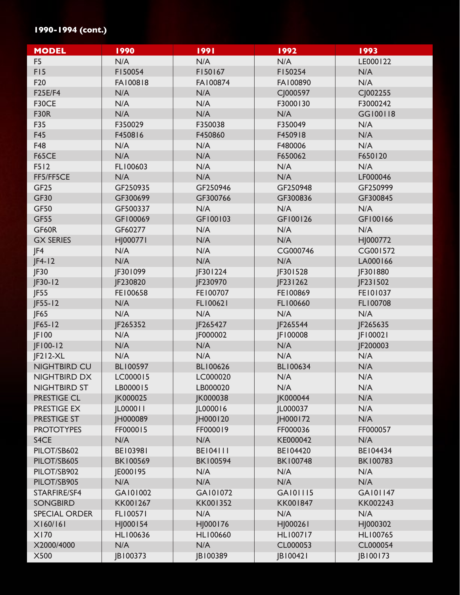## **1990-1994 (cont.)**

| <b>MODEL</b>         | 1990            | 1991            | 1992            | 1993            |
|----------------------|-----------------|-----------------|-----------------|-----------------|
| F <sub>5</sub>       | N/A             | N/A             | N/A             | LE000122        |
| F <sub>15</sub>      | F150054         | F150167         | F150254         | N/A             |
| F20                  | FA100818        | FA100874        | FA100890        | N/A             |
| <b>F25E/F4</b>       | N/A             | N/A             | CJ000597        | CJ002255        |
| F30CE                | N/A             | N/A             | F3000130        | F3000242        |
| <b>F30R</b>          | N/A             | N/A             | N/A             | GG100118        |
| F35                  | F350029         | F350038         | F350049         | N/A             |
| <b>F45</b>           | F450816         | F450860         | F450918         | N/A             |
| F48                  | N/A             | N/A             | F480006         | N/A             |
| <b>F65CE</b>         | N/A             | N/A             | F650062         | F650120         |
| F512                 | FL100603        | N/A             | N/A             | N/A             |
| FF5/FF5CE            | N/A             | N/A             | N/A             | LF000046        |
| GF <sub>25</sub>     | GF250935        | GF250946        | GF250948        | GF250999        |
| <b>GF30</b>          | GF300699        | GF300766        | GF300836        | GF300845        |
| <b>GF50</b>          | GF500337        | N/A             | N/A             | N/A             |
| <b>GF55</b>          | GF100069        | GF100103        | GF100126        | GF100166        |
| GF60R                | GF60277         | N/A             | N/A             | N/A             |
| <b>GX SERIES</b>     | HJ000771        | N/A             | N/A             | HJ000772        |
| JF4                  | N/A             | N/A             | CG000746        | CG001572        |
| $ F4-12$             | N/A             | N/A             | N/A             | LA000166        |
| JF30                 | JF301099        | JF301224        | JF301528        | JF301880        |
| $JF30-12$            | JF230820        | JF230970        | JF231262        | JF231502        |
| IF55                 | FE100658        | FE100707        | FE100869        | FE101037        |
| $JF55-I2$            | N/A             | FL100621        | FL100660        | FL100708        |
| JF65                 | N/A             | N/A             | N/A             | N/A             |
| $JF65-I2$            | JF265352        | JF265427        | JF265544        | JF265635        |
| JF100                | N/A             | JF000002        | JF100008        | JF100021        |
| JF100-12             | N/A             | N/A             | N/A             | JF200003        |
| $ F212-XL$           | N/A             | N/A             | N/A             | N/A             |
| <b>NIGHTBIRD CU</b>  | <b>BL100597</b> | <b>BL100626</b> | <b>BL100634</b> | N/A             |
| NIGHTBIRD DX         | LC000015        | LC000020        | N/A             | N/A             |
| <b>NIGHTBIRD ST</b>  | LB000015        | LB000020        | N/A             | N/A             |
| <b>PRESTIGE CL</b>   | JK000025        | JK000038        | JK000044        | N/A             |
| PRESTIGE EX          | JL000011        | JL000016        | JL000037        | N/A             |
| PRESTIGE ST          | JH000089        | <b>IH000120</b> | <b>IH000172</b> | N/A             |
| <b>PROTOTYPES</b>    | FF000015        | FF000019        | FF000036        | FF000057        |
| S4CE                 | N/A             | N/A             | KE000042        | N/A             |
| PILOT/SB602          | BE103981        | <b>BE104111</b> | BE104420        | BE104434        |
| PILOT/SB605          | <b>BK100569</b> | <b>BK100594</b> | <b>BK100748</b> | <b>BK100783</b> |
| PILOT/SB902          | JE000195        | N/A             | N/A             | N/A             |
| PILOT/SB905          | N/A             | N/A             | N/A             | N/A             |
| STARFIRE/SF4         | GA101002        | GA101072        | GA101115        | GA101147        |
| <b>SONGBIRD</b>      | KK001267        | KK001352        | KK001847        | KK002243        |
| <b>SPECIAL ORDER</b> | FL100571        | N/A             | N/A             | N/A             |
| X160/161             | HJ000154        | HJ000176        | HJ000261        | HJ000302        |
| X170                 | HL100636        | <b>HL100660</b> | <b>HL100717</b> | HL100765        |
| X2000/4000           | N/A             | N/A             | CL000053        | CL000054        |
| <b>X500</b>          | JB100373        | JB100389        | JB100421        | JB100173        |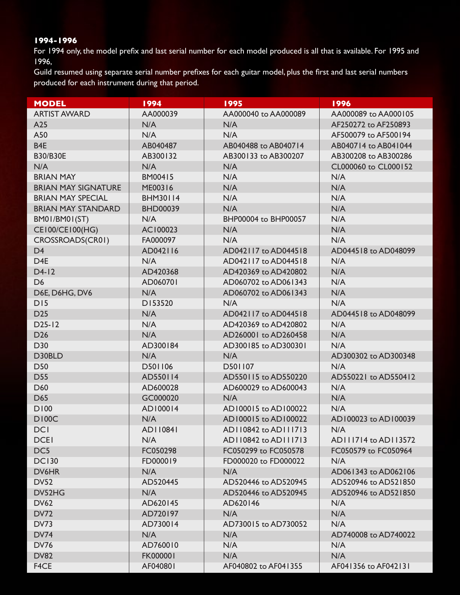For 1994 only, the model prefix and last serial number for each model produced is all that is available. For 1995 and 1996,

Guild resumed using separate serial number prefixes for each guitar model, plus the first and last serial numbers produced for each instrument during that period.

| <b>MODEL</b>               | 1994            | 1995                 | 1996                 |
|----------------------------|-----------------|----------------------|----------------------|
| <b>ARTIST AWARD</b>        | AA000039        | AA000040 to AA000089 | AA000089 to AA000105 |
| A25                        | N/A             | N/A                  | AF250272 to AF250893 |
| A50                        | N/A             | N/A                  | AF500079 to AF500194 |
| B <sub>4E</sub>            | AB040487        | AB040488 to AB040714 | AB040714 to AB041044 |
| <b>B30/B30E</b>            | AB300132        | AB300133 to AB300207 | AB300208 to AB300286 |
| N/A                        | N/A             | N/A                  | CL000060 to CL000152 |
| <b>BRIAN MAY</b>           | BM00415         | N/A                  | N/A                  |
| <b>BRIAN MAY SIGNATURE</b> | ME00316         | N/A                  | N/A                  |
| <b>BRIAN MAY SPECIAL</b>   | <b>BHM30114</b> | N/A                  | N/A                  |
| <b>BRIAN MAY STANDARD</b>  | <b>BHD00039</b> | N/A                  | N/A                  |
| BM01/BM01(ST)              | N/A             | BHP00004 to BHP00057 | N/A                  |
| CE100/CE100(HG)            | AC100023        | N/A                  | N/A                  |
| CROSSROADS(CR01)           | FA000097        | N/A                  | N/A                  |
| D <sub>4</sub>             | AD042116        | AD042117 to AD044518 | AD044518 to AD048099 |
| D <sub>4E</sub>            | N/A             | AD042117 to AD044518 | N/A                  |
| $D4-12$                    | AD420368        | AD420369 to AD420802 | N/A                  |
| D <sub>6</sub>             | AD060701        | AD060702 to AD061343 | N/A                  |
| D6E, D6HG, DV6             | N/A             | AD060702 to AD061343 | N/A                  |
| DI5                        | D153520         | N/A                  | N/A                  |
| D <sub>25</sub>            | N/A             | AD042117 to AD044518 | AD044518 to AD048099 |
| $D25-I2$                   | N/A             | AD420369 to AD420802 | N/A                  |
| D <sub>26</sub>            | N/A             | AD260001 to AD260458 | N/A                  |
| D30                        | AD300184        | AD300185 to AD300301 | N/A                  |
| D30BLD                     | N/A             | N/A                  | AD300302 to AD300348 |
| <b>D50</b>                 | D501106         | D501107              | N/A                  |
| <b>D55</b>                 | AD550114        | AD550115 to AD550220 | AD550221 to AD550412 |
| D60                        | AD600028        | AD600029 to AD600043 | N/A                  |
| D65                        | GC000020        | N/A                  | N/A                  |
| D100                       | AD100014        | AD100015 to AD100022 | N/A                  |
| <b>DI00C</b>               | N/A             | AD100015 to AD100022 | AD100023 to AD100039 |
| <b>DCI</b>                 | AD110841        | AD110842 to AD111713 | N/A                  |
| <b>DCEI</b>                | N/A             | AD110842 to AD111713 | AD111714 to AD113572 |
| DC5                        | FC050298        | FC050299 to FC050578 | FC050579 to FC050964 |
| <b>DC130</b>               | FD000019        | FD000020 to FD000022 | N/A                  |
| DV6HR                      | N/A             | N/A                  | AD061343 to AD062106 |
| <b>DV52</b>                | AD520445        | AD520446 to AD520945 | AD520946 to AD521850 |
| DV52HG                     | N/A             | AD520446 to AD520945 | AD520946 to AD521850 |
| <b>DV62</b>                | AD620145        | AD620146             | N/A                  |
| <b>DV72</b>                | AD720197        | N/A                  | N/A                  |
| <b>DV73</b>                | AD730014        | AD730015 to AD730052 | N/A                  |
| <b>DV74</b>                | N/A             | N/A                  | AD740008 to AD740022 |
| <b>DV76</b>                | AD760010        | N/A                  | N/A                  |
| <b>DV82</b>                | FK000001        | N/A                  | N/A                  |
| F4CE                       | AF040801        | AF040802 to AF041355 | AF041356 to AF042131 |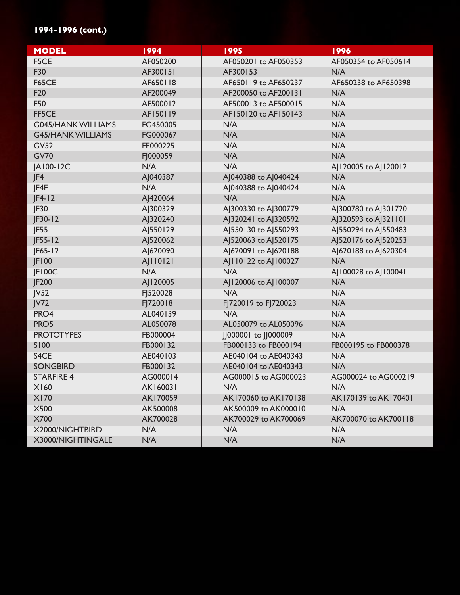## **1994-1996 (cont.)**

| <b>MODEL</b>              | 1994     | 1995                 | 1996                 |
|---------------------------|----------|----------------------|----------------------|
| F5CE                      | AF050200 | AF050201 to AF050353 | AF050354 to AF050614 |
| F30                       | AF300151 | AF300153             | N/A                  |
| <b>F65CE</b>              | AF650118 | AF650119 to AF650237 | AF650238 to AF650398 |
| F <sub>20</sub>           | AF200049 | AF200050 to AF200131 | N/A                  |
| F50                       | AF500012 | AF500013 to AF500015 | N/A                  |
| FF5CE                     | AF150119 | AF150120 to AF150143 | N/A                  |
| <b>G045/HANK WILLIAMS</b> | FG450005 | N/A                  | N/A                  |
| <b>G45/HANK WILLIAMS</b>  | FG000067 | N/A                  | N/A                  |
| <b>GV52</b>               | FE000225 | N/A                  | N/A                  |
| <b>GV70</b>               | FJ000059 | N/A                  | N/A                  |
| JA100-12C                 | N/A      | N/A                  | AJ120005 to AJ120012 |
| JF4                       | AJ040387 | AJ040388 to AJ040424 | N/A                  |
| JF4E                      | N/A      | AJ040388 to AJ040424 | N/A                  |
| $ F4-12$                  | AJ420064 | N/A                  | N/A                  |
| JF30                      | AJ300329 | AJ300330 to AJ300779 | AJ300780 to AJ301720 |
| $ F30-12$                 | AJ320240 | AJ320241 to AJ320592 | AJ320593 to AJ321101 |
| JF55                      | AJ550129 | AJ550130 to AJ550293 | AJ550294 to AJ550483 |
| $JF55-I2$                 | AJ520062 | AJ520063 to AJ520175 | AJ520176 to AJ520253 |
| $ F65 - 12$               | AJ620090 | A 620091 to A 620188 | AJ620188 to AJ620304 |
| JF100                     | AJ110121 | AJ110122 to AJ100027 | N/A                  |
| JF100C                    | N/A      | N/A                  | AJ100028 to AJ100041 |
| JF200                     | AJ120005 | AJ120006 to AJ100007 | N/A                  |
| JV52                      | FJ520028 | N/A                  | N/A                  |
| JVI2                      | FJ720018 | FJ720019 to FJ720023 | N/A                  |
| PRO4                      | AL040139 | N/A                  | N/A                  |
| PRO5                      | AL050078 | AL050079 to AL050096 | N/A                  |
| <b>PROTOTYPES</b>         | FB000004 | JJ000001 to JJ000009 | N/A                  |
| <b>S100</b>               | FB000132 | FB000133 to FB000194 | FB000195 to FB000378 |
| S4CE                      | AE040103 | AE040104 to AE040343 | N/A                  |
| <b>SONGBIRD</b>           | FB000132 | AE040104 to AE040343 | N/A                  |
| <b>STARFIRE 4</b>         | AG000014 | AG000015 to AG000023 | AG000024 to AG000219 |
| X160                      | AK160031 | N/A                  | N/A                  |
| <b>X170</b>               | AK170059 | AK170060 to AK170138 | AK170139 to AK170401 |
| <b>X500</b>               | AK500008 | AK500009 to AK000010 | N/A                  |
| <b>X700</b>               | AK700028 | AK700029 to AK700069 | AK700070 to AK700118 |
| X2000/NIGHTBIRD           | N/A      | N/A                  | N/A                  |
| X3000/NIGHTINGALE         | N/A      | N/A                  | N/A                  |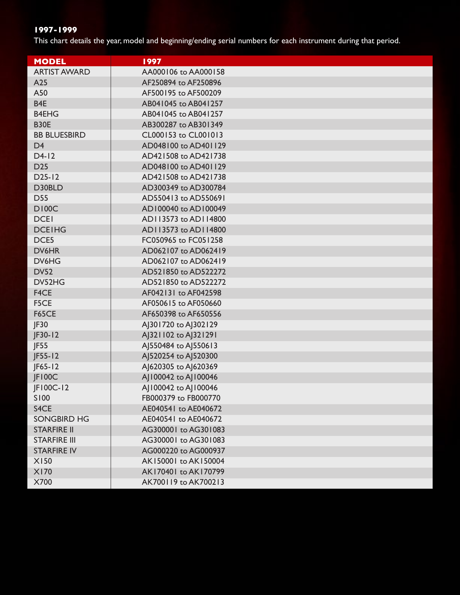This chart details the year, model and beginning/ending serial numbers for each instrument during that period.

| <b>MODEL</b>        | 1997                 |  |  |
|---------------------|----------------------|--|--|
| <b>ARTIST AWARD</b> | AA000106 to AA000158 |  |  |
| A25                 | AF250894 to AF250896 |  |  |
| A50                 | AF500195 to AF500209 |  |  |
| B <sub>4E</sub>     | AB041045 to AB041257 |  |  |
| <b>B4EHG</b>        | AB041045 to AB041257 |  |  |
| <b>B30E</b>         | AB300287 to AB301349 |  |  |
| <b>BB BLUESBIRD</b> | CL000153 to CL001013 |  |  |
| D <sub>4</sub>      | AD048100 to AD401129 |  |  |
| $D4-12$             | AD421508 to AD421738 |  |  |
| D <sub>25</sub>     | AD048100 to AD401129 |  |  |
| $D25-I2$            | AD421508 to AD421738 |  |  |
| D30BLD              | AD300349 to AD300784 |  |  |
| <b>D55</b>          | AD550413 to AD550691 |  |  |
| <b>DI00C</b>        | AD100040 to AD100049 |  |  |
| <b>DCEI</b>         | AD113573 to AD114800 |  |  |
| <b>DCEIHG</b>       | AD113573 to AD114800 |  |  |
| DCE5                | FC050965 to FC051258 |  |  |
| DV6HR               | AD062107 to AD062419 |  |  |
| DV6HG               | AD062107 to AD062419 |  |  |
| <b>DV52</b>         | AD521850 to AD522272 |  |  |
| DV52HG              | AD521850 to AD522272 |  |  |
| F4CE                | AF042131 to AF042598 |  |  |
| F5CE                | AF050615 to AF050660 |  |  |
| <b>F65CE</b>        | AF650398 to AF650556 |  |  |
| JF30                | AJ301720 to AJ302129 |  |  |
| $JF30-12$           | AJ321102 to AJ321291 |  |  |
| JF55                | AJ550484 to AJ550613 |  |  |
| $JF55-I2$           | AJ520254 to AJ520300 |  |  |
| $JF65-I2$           | AJ620305 to AJ620369 |  |  |
| JF100C              | AJ100042 to AJ100046 |  |  |
| JF100C-12           | AJ100042 to AJ100046 |  |  |
| S100                | FB000379 to FB000770 |  |  |
| S4CE                | AE040541 to AE040672 |  |  |
| <b>SONGBIRD HG</b>  | AE040541 to AE040672 |  |  |
| <b>STARFIRE II</b>  | AG300001 to AG301083 |  |  |
| <b>STARFIRE III</b> | AG300001 to AG301083 |  |  |
| <b>STARFIRE IV</b>  | AG000220 to AG000937 |  |  |
| <b>X150</b>         | AK150001 to AK150004 |  |  |
| <b>X170</b>         | AK170401 to AK170799 |  |  |
| X700                | AK700119 to AK700213 |  |  |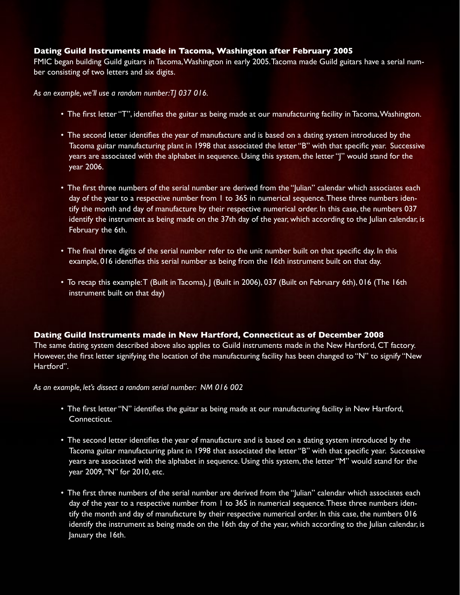#### **Dating Guild Instruments made in Tacoma, Washington after February 2005**

FMIC began building Guild guitars in Tacoma,Washington in early 2005.Tacoma made Guild guitars have a serial number consisting of two letters and six digits.

*As an example, we'll use a random number: TJ 037 016.*

- The first letter "T", identifies the guitar as being made at our manufacturing facility in Tacoma,Washington.
- The second letter identifies the year of manufacture and is based on a dating system introduced by the Tacoma guitar manufacturing plant in 1998 that associated the letter "B" with that specific year. Successive years are associated with the alphabet in sequence. Using this system, the letter "J" would stand for the year 2006.
- The first three numbers of the serial number are derived from the "Julian" calendar which associates each day of the year to a respective number from 1 to 365 in numerical sequence. These three numbers identify the month and day of manufacture by their respective numerical order. In this case, the numbers 037 identify the instrument as being made on the 37th day of the year, which according to the Julian calendar, is February the 6th.
- The final three digits of the serial number refer to the unit number built on that specific day. In this example, 016 identifies this serial number as being from the 16th instrument built on that day.
- To recap this example:T (Built in Tacoma), J (Built in 2006), 037 (Built on February 6th), 016 (The 16th instrument built on that day)

#### **Dating Guild Instruments made in New Hartford, Connecticut as of December 2008**

The same dating system described above also applies to Guild instruments made in the New Hartford, CT factory. However, the first letter signifying the location of the manufacturing facility has been changed to "N" to signify "New Hartford".

*As an example, let's dissect a random serial number: NM 016 002*

- The first letter "N" identifies the guitar as being made at our manufacturing facility in New Hartford, Connecticut.
- The second letter identifies the year of manufacture and is based on a dating system introduced by the Tacoma guitar manufacturing plant in 1998 that associated the letter "B" with that specific year. Successive years are associated with the alphabet in sequence. Using this system, the letter "M" would stand for the year 2009,"N" for 2010, etc.
- The first three numbers of the serial number are derived from the "Julian" calendar which associates each day of the year to a respective number from 1 to 365 in numerical sequence.These three numbers identify the month and day of manufacture by their respective numerical order. In this case, the numbers 016 identify the instrument as being made on the 16th day of the year, which according to the Julian calendar, is January the 16th.